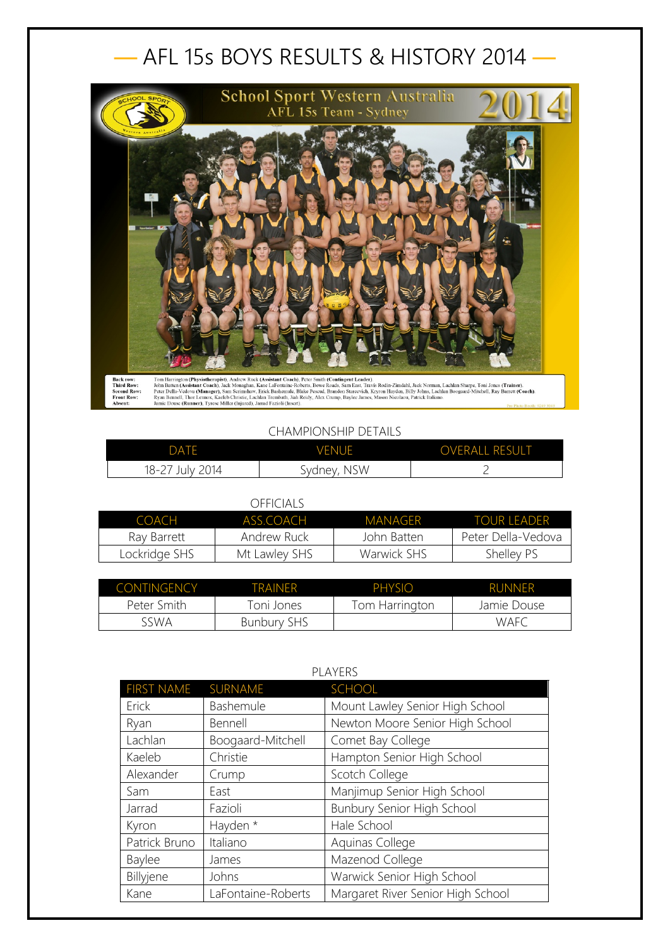## — AFL 15s BOYS RESULTS & HISTORY 2014 —



## CHAMPIONSHIP DETAILS

| DATE            | <b>VENUE</b> | <b>OVERALL RESULT</b> |
|-----------------|--------------|-----------------------|
| 18-27 July 2014 | Sydney, NSW  |                       |

## OFFICIALS

| COACH         | ASS COACH     | MANAGER     | <b>TOUR LEADER</b> |
|---------------|---------------|-------------|--------------------|
| Rav Barrett   | Andrew Ruck   | John Batten | Peter Della-Vedova |
| Lockridge SHS | Mt Lawley SHS | Warwick SHS | Shelley PS         |

| CONTINGENCY | TRAINER            | PHYSIO         | <b>RUNNER</b> |
|-------------|--------------------|----------------|---------------|
| Peter Smith | Toni Jones         | Tom Harrington | Jamie Douse   |
| sswa        | <b>Bunbury SHS</b> |                | WAFC          |

| PLAYERS           |                    |                                   |
|-------------------|--------------------|-----------------------------------|
| <b>FIRST NAME</b> | SURNAME            | <b>SCHOOL</b>                     |
| Erick             | Bashemule          | Mount Lawley Senior High School   |
| Ryan              | Bennell            | Newton Moore Senior High School   |
| Lachlan           | Boogaard-Mitchell  | Comet Bay College                 |
| Kaeleb            | Christie           | Hampton Senior High School        |
| Alexander         | Crump              | Scotch College                    |
| Sam               | East               | Manjimup Senior High School       |
| Jarrad            | Fazioli            | Bunbury Senior High School        |
| Kyron             | Hayden *           | Hale School                       |
| Patrick Bruno     | Italiano           | Aquinas College                   |
| <b>Baylee</b>     | James              | Mazenod College                   |
| Billyjene         | Johns              | Warwick Senior High School        |
| Kane              | LaFontaine-Roberts | Margaret River Senior High School |